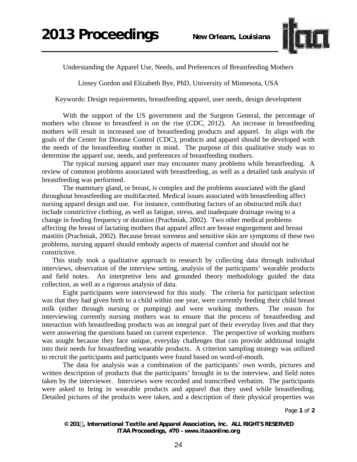

Understanding the Apparel Use, Needs, and Preferences of Breastfeeding Mothers

Linsey Gordon and Elizabeth Bye, PhD, University of Minnesota, USA

Keywords: Design requirements, breastfeeding apparel, user needs, design development

With the support of the US government and the Surgeon General, the percentage of mothers who choose to breastfeed is on the rise (CDC, 2012). An increase in breastfeeding mothers will result in increased use of breastfeeding products and apparel. In align with the goals of the Center for Disease Control (CDC), products and apparel should be developed with the needs of the breastfeeding mother in mind. The purpose of this qualitative study was to determine the apparel use, needs, and preferences of breastfeeding mothers.

The typical nursing apparel user may encounter many problems while breastfeeding. A review of common problems associated with breastfeeding, as well as a detailed task analysis of breastfeeding was performed.

The mammary gland, or breast, is complex and the problems associated with the gland throughout breastfeeding are multifaceted. Medical issues associated with breastfeeding affect nursing apparel design and use. For instance, contributing factors of an obstructed milk duct include constrictive clothing, as well as fatigue, stress, and inadequate drainage owing to a change in feeding frequency or duration (Prachniak, 2002). Two other medical problems affecting the breast of lactating mothers that apparel affect are breast engorgement and breast mastitis (Prachniak, 2002). Because breast soreness and sensitive skin are symptoms of these two problems, nursing apparel should embody aspects of material comfort and should not be constrictive.

This study took a qualitative approach to research by collecting data through individual interviews, observation of the interview setting, analysis of the participants' wearable products and field notes. An interpretive lens and grounded theory methodology guided the data collection, as well as a rigorous analysis of data.

Eight participants were interviewed for this study. The criteria for participant selection was that they had given birth to a child within one year, were currently feeding their child breast milk (either through nursing or pumping) and were working mothers. The reason for interviewing currently nursing mothers was to ensure that the process of breastfeeding and interaction with breastfeeding products was an integral part of their everyday lives and that they were answering the questions based on current experience. The perspective of working mothers was sought because they face unique, everyday challenges that can provide additional insight into their needs for breastfeeding wearable products. A criterion sampling strategy was utilized to recruit the participants and participants were found based on word-of-mouth.

The data for analysis was a combination of the participants' own words, pictures and written description of products that the participants' brought in to the interview, and field notes taken by the interviewer. Interviews were recorded and transcribed verbatim. The participants were asked to bring in wearable products and apparel that they used while breastfeeding. Detailed pictures of the products were taken, and a description of their physical properties was

Page **1** of **2**